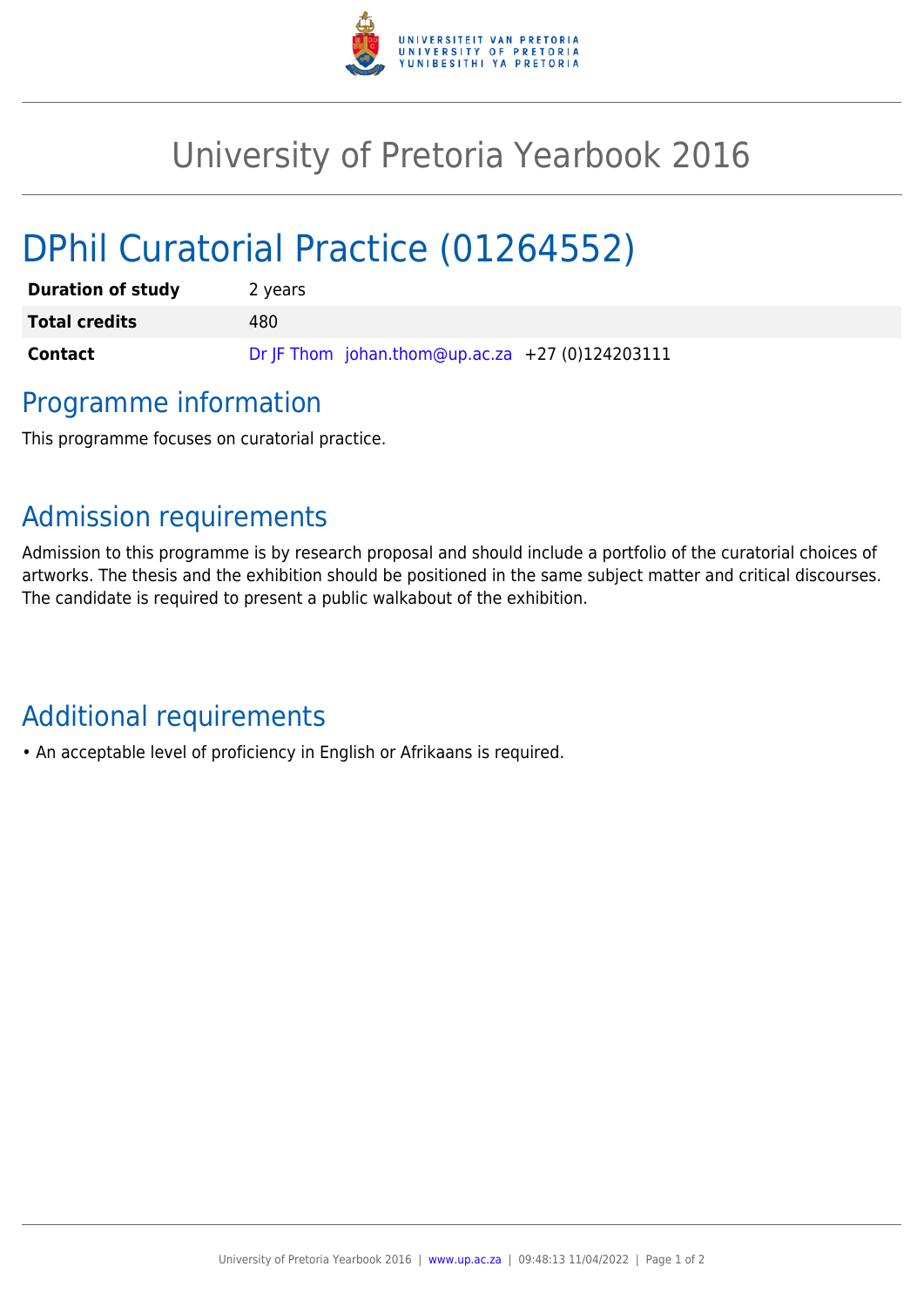

## University of Pretoria Yearbook 2016

# DPhil Curatorial Practice (01264552)

| <b>Duration of study</b> | 2 years                                         |
|--------------------------|-------------------------------------------------|
| <b>Total credits</b>     | 480.                                            |
| <b>Contact</b>           | Dr JF Thom johan.thom@up.ac.za +27 (0)124203111 |

### Programme information

This programme focuses on curatorial practice.

### Admission requirements

Admission to this programme is by research proposal and should include a portfolio of the curatorial choices of artworks. The thesis and the exhibition should be positioned in the same subject matter and critical discourses. The candidate is required to present a public walkabout of the exhibition.

## Additional requirements

• An acceptable level of proficiency in English or Afrikaans is required.